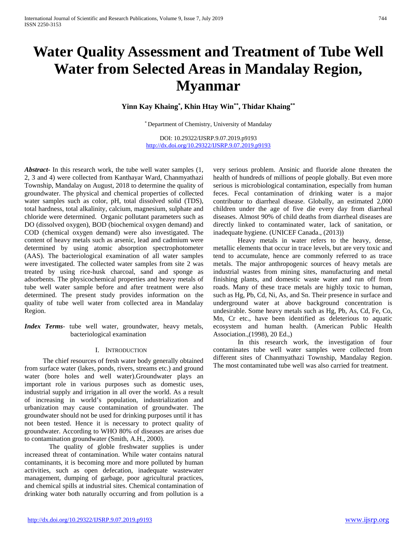# **Water Quality Assessment and Treatment of Tube Well Water from Selected Areas in Mandalay Region, Myanmar**

**Yinn Kay Khaing\* , Khin Htay Win\*\*, Thidar Khaing\*\***

\* Department of Chemistry, University of Mandalay

DOI: 10.29322/IJSRP.9.07.2019.p9193 <http://dx.doi.org/10.29322/IJSRP.9.07.2019.p9193>

*Abstract***-** In this research work, the tube well water samples (1, 2, 3 and 4) were collected from Kanthayar Ward, Chanmyathazi Township, Mandalay on August, 2018 to determine the quality of groundwater. The physical and chemical properties of collected water samples such as color, pH, total dissolved solid (TDS), total hardness, total alkalinity, calcium, magnesium, sulphate and chloride were determined. Organic pollutant parameters such as DO (dissolved oxygen), BOD (biochemical oxygen demand) and COD (chemical oxygen demand) were also investigated. The content of heavy metals such as arsenic, lead and cadmium were determined by using atomic absorption spectrophotometer (AAS). The bacteriological examination of all water samples were investigated. The collected water samples from site 2 was treated by using rice-husk charcoal, sand and sponge as adsorbents. The physicochemical properties and heavy metals of tube well water sample before and after treatment were also determined. The present study provides information on the quality of tube well water from collected area in Mandalay Region.

*Index Terms*- tube well water, groundwater, heavy metals, bacteriological examination

# I. INTRODUCTION

The chief resources of fresh water body generally obtained from surface water (lakes, ponds, rivers, streams etc.) and ground water (bore holes and well water).Groundwater plays an important role in various purposes such as domestic uses, industrial supply and irrigation in all over the world. As a result of increasing in world's population, industrialization and urbanization may cause contamination of groundwater. The groundwater should not be used for drinking purposes until it has not been tested. Hence it is necessary to protect quality of groundwater. According to WHO 80% of diseases are arises due to contamination groundwater (Smith, A.H., 2000).

The quality of globle freshwater supplies is under increased threat of contamination. While water contains natural contaminants, it is becoming more and more polluted by human activities, such as open defecation, inadequate wastewater management, dumping of garbage, poor agricultural practices, and chemical spills at industrial sites. Chemical contamination of drinking water both naturally occurring and from pollution is a very serious problem. Ansinic and fluoride alone threaten the health of hundreds of millions of people globally. But even more serious is microbiological contamination, especially from human feces. Fecal contamination of drinking water is a major contributor to diarrheal disease. Globally, an estimated 2,000 children under the age of five die every day from diarrheal diseases. Almost 90% of child deaths from diarrheal diseases are directly linked to contaminated water, lack of sanitation, or inadequate hygiene. (UNICEF Canada., (2013))

Heavy metals in water refers to the heavy, dense, metallic elements that occur in trace levels, but are very toxic and tend to accumulate, hence are commonly referred to as trace metals. The major anthropogenic sources of heavy metals are industrial wastes from mining sites, manufacturing and metal finishing plants, and domestic waste water and run off from roads. Many of these trace metals are highly toxic to human, such as Hg, Pb, Cd, Ni, As, and Sn. Their presence in surface and underground water at above background concentration is undesirable. Some heavy metals such as Hg, Pb, As, Cd, Fe, Co, Mn, Cr etc., have been identified as deleterious to aquatic ecosystem and human health. (American Public Health Association.,(1998), 20 Ed.,)

In this research work, the investigation of four contaminates tube well water samples were collected from different sites of Chanmyathazi Township, Mandalay Region. The most contaminated tube well was also carried for treatment.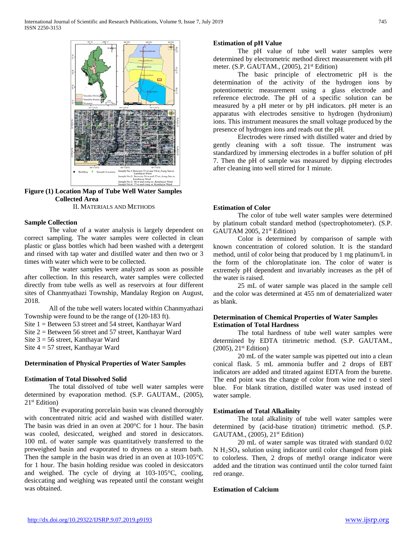

**Figure (1) Location Map of Tube Well Water Samples Collected Area**

II. MATERIALS AND METHODS

#### **Sample Collection**

The value of a water analysis is largely dependent on correct sampling. The water samples were collected in clean plastic or glass bottles which had been washed with a detergent and rinsed with tap water and distilled water and then two or 3 times with water which were to be collected.

The water samples were analyzed as soon as possible after collection. In this research, water samples were collected directly from tube wells as well as reservoirs at four different sites of Chanmyathazi Township, Mandalay Region on August, 2018.

All of the tube well waters located within Chanmyathazi Township were found to be the range of (120-183 ft).

Site 1 = Between 53 street and 54 street, Kanthayar Ward

Site 2 = Between 56 street and 57 street, Kanthayar Ward

Site 3 = 56 street, Kanthayar Ward

Site 4 = 57 street, Kanthayar Ward

## **Determination of Physical Properties of Water Samples**

## **Estimation of Total Dissolved Solid**

The total dissolved of tube well water samples were determined by evaporation method. (S.P. GAUTAM., (2005),  $21<sup>st</sup> Edition$ 

The evaporating porcelain basin was cleaned thoroughly with concentrated nitric acid and washed with distilled water. The basin was dried in an oven at 200°C for 1 hour. The basin was cooled, desiccated, weighed and stored in desiccators. 100 mL of water sample was quantitatively transferred to the preweighed basin and evaporated to dryness on a steam bath. Then the sample in the basin was dried in an oven at 103-105°C for 1 hour. The basin holding residue was cooled in desiccators and weighed. The cycle of drying at 103-105°C, cooling, desiccating and weighing was repeated until the constant weight was obtained.

## **Estimation of pH Value**

The pH value of tube well water samples were determined by electrometric method direct measurement with pH meter. (S.P. GAUTAM., (2005), 21<sup>st</sup> Edition)

The basic principle of electrometric pH is the determination of the activity of the hydrogen ions by potentiometric measurement using a glass electrode and reference electrode. The pH of a specific solution can be measured by a pH meter or by pH indicators. pH meter is an apparatus with electrodes sensitive to hydrogen (hydronium) ions. This instrument measures the small voltage produced by the presence of hydrogen ions and reads out the pH.

Electrodes were rinsed with distilled water and dried by gently cleaning with a soft tissue. The instrument was standardized by immersing electrodes in a buffer solution of pH 7. Then the pH of sample was measured by dipping electrodes after cleaning into well stirred for 1 minute.

### **Estimation of Color**

The color of tube well water samples were determined by platinum cobalt standard method (spectrophotometer). (S.P. GAUTAM 2005, 21<sup>st</sup> Edition)

Color is determined by comparison of sample with known concentration of colored solution. It is the standard method, until of color being that produced by 1 mg platinum/L in the form of the chloroplatinate ion. The color of water is extremely pH dependent and invariably increases as the pH of the water is raised.

25 mL of water sample was placed in the sample cell and the color was determined at 455 nm of dematerialized water as blank.

# **Determination of Chemical Properties of Water Samples Estimation of Total Hardness**

The total hardness of tube well water samples were determined by EDTA titrimetric method. (S.P. GAUTAM.,  $(2005)$ ,  $21<sup>st</sup> Edition)$ 

20 mL of the water sample was pipetted out into a clean conical flask. 5 mL ammonia buffer and 2 drops of EBT indicators are added and titrated against EDTA from the burette. The end point was the change of color from wine red t o steel blue. For blank titration, distilled water was used instead of water sample.

## **Estimation of Total Alkalinity**

The total alkalinity of tube well water samples were determined by (acid-base titration) titrimetric method. (S.P. GAUTAM., (2005), 21st Edition)

20 mL of water sample was titrated with standard 0.02 N H2SO4 solution using indicator until color changed from pink to colorless. Then, 2 drops of methyl orange indicator were added and the titration was continued until the color turned faint red orange.

## **Estimation of Calcium**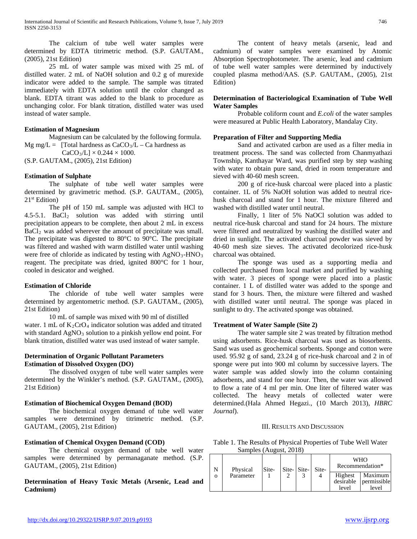The calcium of tube well water samples were determined by EDTA titrimetric method. (S.P. GAUTAM., (2005), 21st Edition)

25 mL of water sample was mixed with 25 mL of distilled water. 2 mL of NaOH solution and 0.2 g of murexide indicator were added to the sample. The sample was titrated immediately with EDTA solution until the color changed as blank. EDTA titrant was added to the blank to procedure as unchanging color. For blank titration, distilled water was used instead of water sample.

# **Estimation of Magnesium**

Magnesium can be calculated by the following formula. Mg mg/L = [Total hardness as  $CaCO<sub>3</sub>/L - Ca$  hardness as  $CaCO<sub>3</sub>/L$ ]  $\times$  0.244  $\times$  1000.

(S.P. GAUTAM., (2005), 21st Edition)

# **Estimation of Sulphate**

The sulphate of tube well water samples were determined by gravimetric method. (S.P. GAUTAM., (2005),  $21<sup>st</sup> Edition$ )

The pH of 150 mL sample was adjusted with HCl to 4.5-5.1. BaCl2 solution was added with stirring until precipitation appears to be complete, then about 2 mL in excess BaCl<sub>2</sub> was added wherever the amount of precipitate was small. The precipitate was digested to 80°C to 90°C. The precipitate was filtered and washed with warm distilled water until washing were free of chloride as indicated by testing with  $AgNO<sub>3</sub>-HNO<sub>3</sub>$ reagent. The precipitate was dried, ignited 800°C for 1 hour, cooled in desicator and weighed.

# **Estimation of Chloride**

The chloride of tube well water samples were determined by argentometric method. (S.P. GAUTAM., (2005), 21st Edition)

10 mL of sample was mixed with 90 ml of distilled water. 1 mL of  $K_2CrO_4$  indicator solution was added and titrated with standard  $AgNO<sub>3</sub>$  solution to a pinkish yellow end point. For blank titration, distilled water was used instead of water sample.

# **Determination of Organic Pollutant Parameters Estimation of Dissolved Oxygen (DO)**

The dissolved oxygen of tube well water samples were determined by the Winkler's method. (S.P. GAUTAM., (2005), 21st Edition)

# **Estimation of Biochemical Oxygen Demand (BOD)**

The biochemical oxygen demand of tube well water samples were determined by titrimetric method. (S.P. GAUTAM., (2005), 21st Edition)

# **Estimation of Chemical Oxygen Demand (COD)**

The chemical oxygen demand of tube well water samples were determined by permanaganate method. (S.P. GAUTAM., (2005), 21st Edition)

**Determination of Heavy Toxic Metals (Arsenic, Lead and Cadmium)**

The content of heavy metals (arsenic, lead and cadmium) of water samples were examined by Atomic Absorption Spectrophotometer. The arsenic, lead and cadmium of tube well water samples were determined by inductively coupled plasma method/AAS. (S.P. GAUTAM., (2005), 21st Edition)

# **Determination of Bacteriological Examination of Tube Well Water Samples**

Probable coliform count and *E.coli* of the water samples were measured at Public Health Laboratory, Mandalay City.

# **Preparation of Filter and Supporting Media**

Sand and activated carbon are used as a filter media in treatment process. The sand was collected from Chanmyathazi Township, Kanthayar Ward, was purified step by step washing with water to obtain pure sand, dried in room temperature and sieved with 40-60 mesh screen.

200 g of rice-husk charcoal were placed into a plastic container. 1L of 5% NaOH solution was added to neutral ricehusk charcoal and stand for 1 hour. The mixture filtered and washed with distilled water until neutral.

Finally, 1 liter of 5% NaOCl solution was added to neutral rice-husk charcoal and stand for 24 hours. The mixture were filtered and neutralized by washing the distilled water and dried in sunlight. The activated charcoal powder was sieved by 40-60 mesh size sieves. The activated decolorized rice-husk charcoal was obtained.

The sponge was used as a supporting media and collected purchased from local market and purified by washing with water. 3 pieces of sponge were placed into a plastic container. 1 L of distilled water was added to the sponge and stand for 3 hours. Then, the mixture were filtered and washed with distilled water until neutral. The sponge was placed in sunlight to dry. The activated sponge was obtained.

# **Treatment of Water Sample (Site 2)**

The water sample site 2 was treated by filtration method using adsorbents. Rice-husk charcoal was used as biosorbents. Sand was used as geochemical sorbents. Sponge and cotton were used. 95.92 g of sand, 23.24 g of rice-husk charcoal and 2 in of sponge were put into 900 ml column by successive layers. The water sample was added slowly into the column containing adsorbents, and stand for one hour. Then, the water was allowed to flow a rate of 4 ml per min. One liter of filtered water was collected. The heavy metals of collected water were determined.(Hala Ahmed Hegazi., (10 March 2013), *HBRC Journal*).

# III. RESULTS AND DISCUSSION

Table 1. The Results of Physical Properties of Tube Well Water Samples (August, 2018)

|   | Physical  | Site- | Site-Site- | Site- |                  | <b>WHO</b><br>Recommendation*             |
|---|-----------|-------|------------|-------|------------------|-------------------------------------------|
| Ω | Parameter |       |            |       | Highest<br>level | Maximum<br>desirable permissible<br>level |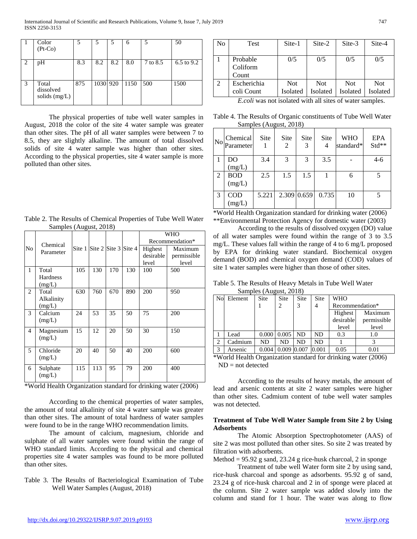|                             | Color<br>$(Pt-Co)$                    |     | 5        |     | 6    |          | 50         |
|-----------------------------|---------------------------------------|-----|----------|-----|------|----------|------------|
| $\mathcal{D}_{\mathcal{L}}$ | pH                                    | 8.3 | 8.2      | 8.2 | 8.0  | 7 to 8.5 | 6.5 to 9.2 |
| 3                           | Total<br>dissolved<br>solids $(mg/L)$ | 875 | 1030 920 |     | 1150 | 500      | 1500       |

The physical properties of tube well water samples in August, 2018 the color of the site 4 water sample was greater than other sites. The pH of all water samples were between 7 to 8.5, they are slightly alkaline. The amount of total dissolved solids of site 4 water sample was higher than other sites. According to the physical properties, site 4 water sample is more polluted than other sites.

| Table 2. The Results of Chemical Properties of Tube Well Water |  |
|----------------------------------------------------------------|--|
| Samples (August, 2018)                                         |  |

|              |            |        |                            |     |        |           | <b>WHO</b>      |
|--------------|------------|--------|----------------------------|-----|--------|-----------|-----------------|
|              | Chemical   |        |                            |     |        |           | Recommendation* |
| No           | Parameter  | Site 1 | Site $2$ Site $3$ Site $4$ |     |        | Highest   | Maximum         |
|              |            |        |                            |     |        | desirable | permissible     |
|              |            |        |                            |     |        | level     | level           |
| $\mathbf{1}$ | Total      | 105    | 130                        | 170 | 130    | 100       | 500             |
|              | Hardness   |        |                            |     |        |           |                 |
|              | (mg/L)     |        |                            |     |        |           |                 |
| 2            | Total      | 630    | 760                        | 670 | 890    | 200       | 950             |
|              | Alkalinity |        |                            |     |        |           |                 |
|              | (mg/L)     |        |                            |     |        |           |                 |
| 3            | Calcium    | 24     | 53                         | 35  | 50     | 75        | 200             |
|              | (mg/L)     |        |                            |     |        |           |                 |
| 4            | Magnesium  | 15     | 12                         | 20  | 50     | 30        | 150             |
|              | (mg/L)     |        |                            |     |        |           |                 |
|              |            |        |                            |     |        |           |                 |
| 5            | Chloride   | 20     | 40                         | 50  | 40     | 200       | 600             |
|              | (mg/L)     |        |                            |     |        |           |                 |
| 6            | Sulphate   | 115    | 113                        | 95  | 79     | 200       | 400             |
|              | (mg/L)     |        |                            |     |        |           |                 |
|              |            |        |                            |     | $\sim$ | .         |                 |

\*World Health Organization standard for drinking water (2006)

According to the chemical properties of water samples, the amount of total alkalinity of site 4 water sample was greater than other sites. The amount of total hardness of water samples were found to be in the range WHO recommendation limits.

The amount of calcium, magnesium, chloride and sulphate of all water samples were found within the range of WHO standard limits. According to the physical and chemical properties site 4 water samples was found to be more polluted than other sites.

Table 3. The Results of Bacteriological Examination of Tube Well Water Samples (August, 2018)

| No             | Test                          | Site-1                 | Site-2                        | Site-3                 | Site-4                 |
|----------------|-------------------------------|------------------------|-------------------------------|------------------------|------------------------|
|                | Probable<br>Coliform<br>Count | 0/5                    | 0/5                           | 0/5                    | 0/5                    |
| $\overline{2}$ | Escherichia<br>coli Count     | <b>Not</b><br>Isolated | <b>Not</b><br><b>Isolated</b> | <b>Not</b><br>Isolated | <b>Not</b><br>Isolated |

*E.coli* was not isolated with all sites of water samples.

Table 4. The Results of Organic constituents of Tube Well Water Samples (August, 2018)

| N <sub>o</sub> | Chemical<br>Parameter | <b>Site</b> | Site<br>2     | Site<br>3   | Site<br>4 | <b>WHO</b><br>standard* | EPA<br>Std** |
|----------------|-----------------------|-------------|---------------|-------------|-----------|-------------------------|--------------|
|                | DO<br>(mg/L)          | 3.4         | $\mathcal{E}$ | 3           | 3.5       |                         | $4 - 6$      |
| $\overline{2}$ | <b>BOD</b><br>(mg/L)  | 2.5         | 1.5           | 1.5         |           | 6                       |              |
| 3              | <b>COD</b><br>(mg/L)  | 5.221       |               | 2.309 0.659 | 0.735     | 10                      | 5            |

\*World Health Organization standard for drinking water (2006) \*\*Environmental Protection Agency for domestic water (2003)

According to the results of dissolved oxygen (DO) value of all water samples were found within the range of 3 to 3.5 mg/L. These values fall within the range of 4 to 6 mg/L proposed by EPA for drinking water standard. Biochemical oxygen demand (BOD) and chemical oxygen demand (COD) values of site 1 water samples were higher than those of other sites.

Table 5. The Results of Heavy Metals in Tube Well Water Samples (August, 2018)

| No             | Element | Site  | Site  | Site  | <b>Site</b> | <b>WHO</b>      |             |
|----------------|---------|-------|-------|-------|-------------|-----------------|-------------|
|                |         |       | 2     | 3     | 4           | Recommendation* |             |
|                |         |       |       |       |             | Highest         | Maximum     |
|                |         |       |       |       |             | desirable       | permissible |
|                |         |       |       |       |             | level           | level       |
|                | Lead    | 0.000 | 0.005 | ND    | ND          | 0.3             | 1.0         |
| $\overline{2}$ | Cadmium | ND    | ND    | ND    | ND          |                 |             |
| 3              | Arsenic |       | 0.009 | 0.007 | 0.001       | 0.05            |             |

\*World Health Organization standard for drinking water (2006)  $ND = not detected$ 

According to the results of heavy metals, the amount of lead and arsenic contents at site 2 water samples were higher than other sites. Cadmium content of tube well water samples was not detected.

# **Treatment of Tube Well Water Sample from Site 2 by Using Adsorbents**

The Atomic Absorption Spectrophotometer (AAS) of site 2 was most polluted than other sites. So site 2 was treated by filtration with adsorbents.

Method =  $95.92$  g sand,  $23.24$  g rice-husk charcoal, 2 in sponge

Treatment of tube well Water form site 2 by using sand, rice-husk charcoal and sponge as adsorbents. 95.92 g of sand, 23.24 g of rice-husk charcoal and 2 in of sponge were placed at the column. Site 2 water sample was added slowly into the column and stand for 1 hour. The water was along to flow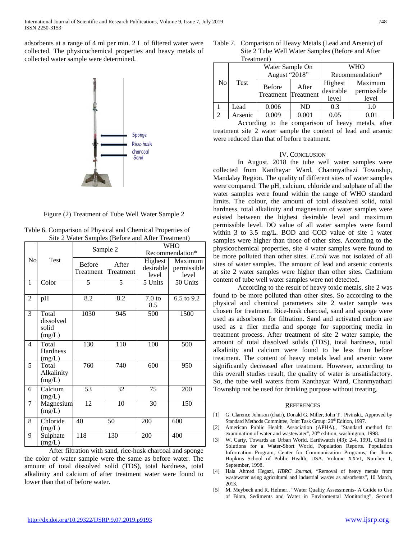adsorbents at a range of 4 ml per min. 2 L of filtered water were collected. The physicochemical properties and heavy metals of collected water sample were determined.



Figure (2) Treatment of Tube Well Water Sample 2

|                |                                       | $\cdots$ week to wantprop $\cdots$ | Sample 2           | <b>WHO</b><br>Recommendation*        |                                 |  |
|----------------|---------------------------------------|------------------------------------|--------------------|--------------------------------------|---------------------------------|--|
| No             | Test                                  | <b>Before</b><br>Treatment         | After<br>Treatment | <b>Highest</b><br>desirable<br>level | Maximum<br>permissible<br>level |  |
| 1              | Color                                 | 5                                  | 5                  | $5 \overline{\text{Units}}$          | 50 Units                        |  |
| $\overline{c}$ | pH                                    | $\overline{8.2}$                   | $\overline{8.2}$   | 7.0 <sub>to</sub><br>8.5             | $6.5$ to $9.2$                  |  |
| 3              | Total<br>dissolved<br>solid<br>(mg/L) | 1030                               | 945                | 500                                  | 1500                            |  |
| 4              | Total<br>Hardness<br>(mg/L)           | 130                                | 110                | 100                                  | 500                             |  |
| 5              | Total<br>Alkalinity<br>(mg/L)         | 760                                | 740                | 600                                  | $\overline{950}$                |  |
| 6              | Calcium<br>(mg/L)                     | $\overline{53}$                    | $\overline{32}$    | 75                                   | 200                             |  |
| 7              | Magnesium<br>(mg/L)                   | $\overline{12}$                    | $\overline{10}$    | $\overline{30}$                      | $\overline{150}$                |  |
| 8              | Chloride<br>(mg/L)                    | 40                                 | 50                 | 200                                  | 600                             |  |
| 9              | Sulphate<br>(mg/L)                    | 118                                | 130                | 200                                  | 400                             |  |

Table 6. Comparison of Physical and Chemical Properties of Site 2 Water Samples (Before and After Treatment)

After filtration with sand, rice-husk charcoal and sponge the color of water sample were the same as before water. The amount of total dissolved solid (TDS), total hardness, total alkalinity and calcium of after treatment water were found to lower than that of before water.

| Table 7. Comparison of Heavy Metals (Lead and Arsenic) of |
|-----------------------------------------------------------|
| Site 2 Tube Well Water Samples (Before and After          |
| Treatment)                                                |

|    | 11 Jaun-Jul |                                      |           |                 |             |  |  |  |  |
|----|-------------|--------------------------------------|-----------|-----------------|-------------|--|--|--|--|
| No | <b>Test</b> | Water Sample On                      |           | <b>WHO</b>      |             |  |  |  |  |
|    |             | August "2018"                        |           | Recommendation* |             |  |  |  |  |
|    |             | <b>Before</b><br>Treatment Treatment | After     | Highest         | Maximum     |  |  |  |  |
|    |             |                                      |           | desirable       | permissible |  |  |  |  |
|    |             |                                      |           | level           | level       |  |  |  |  |
|    | Lead        | 0.006                                | <b>ND</b> | 0.3             | 1.0         |  |  |  |  |
| ◠  | Arsenic     | 0.009                                | 0.001     | 0.05            | 0.01        |  |  |  |  |
|    |             | $\sim$ $\sim$                        |           |                 |             |  |  |  |  |

According to the comparison of heavy metals, after treatment site 2 water sample the content of lead and arsenic were reduced than that of before treatment.

## IV. CONCLUSION

In August, 2018 the tube well water samples were collected from Kanthayar Ward, Chanmyathazi Township, Mandalay Region. The quality of different sites of water samples were compared. The pH, calcium, chloride and sulphate of all the water samples were found within the range of WHO standard limits. The colour, the amount of total dissolved solid, total hardness, total alkalinity and magnesium of water samples were existed between the highest desirable level and maximum permissible level. DO value of all water samples were found within 3 to 3.5 mg/L. BOD and COD value of site 1 water samples were higher than those of other sites. According to the physicochemical properties, site 4 water samples were found to be more polluted than other sites. *E.coli* was not isolated of all sites of water samples. The amount of lead and arsenic contents at site 2 water samples were higher than other sites. Cadmium content of tube well water samples were not detected.

According to the result of heavy toxic metals, site 2 was found to be more polluted than other sites. So according to the physical and chemical parameters site 2 water sample was chosen for treatment. Rice-husk charcoal, sand and sponge were used as adsorbents for filtration. Sand and activated carbon are used as a filer media and sponge for supporting media in treatment process. After treatment of site 2 water sample, the amount of total dissolved solids (TDS), total hardness, total alkalinity and calcium were found to be less than before treatment. The content of heavy metals lead and arsenic were significantly decreased after treatment. However, according to this overall studies result, the quality of water is unsatisfactory. So, the tube well waters from Kanthayar Ward, Chanmyathazi Township not be used for drinking purpose without treating.

#### **REFERENCES**

- [1] G. Clarence Johnson (chair), Donald G. Miller, John T . Pivinski., Approved by Standard Methods Committee, Joint Task Group: 20<sup>th</sup> Edition, 1997.
- [2] American Public Health Association (APHA)., "Standard method for examination of water and wastewater", 20<sup>th</sup> edition, washington, 1998.
- [3] W. Carty, Towards an Urban World. Earthwatch (43): 2-4. 1991. Cited in Solutions for a Water-Short World, Population Reports. Population Information Program, Center for Communication Programs, the Jhons Hopkins School of Public Health, USA. Volume XXVI, Number 1, September, 1998.
- [4] Hala Ahmed Hegazi, *HBRC Journal*, "Removal of heavy metals from wastewater using agricultural and industrial wastes as adsorbents", 10 March, 2013.
- [5] M. Meybeck and R. Helmer., "Water Quality Assessments- A Guide to Use of Biota, Sediments and Water in Enviromental Monitoring". Second